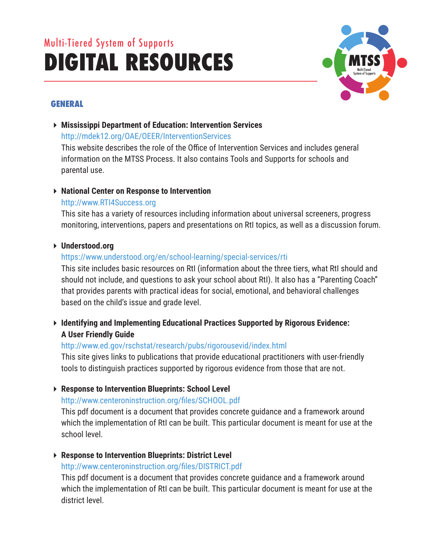# Multi-Tiered System of Supports **DIGITAL RESOURCES**



# **GENERAL**

 **Mississippi Department of Education: Intervention Services** http://mdek12.org/OAE/OEER/InterventionServices

This website describes the role of the Office of Intervention Services and includes general information on the MTSS Process. It also contains Tools and Supports for schools and parental use.

# **National Center on Response to Intervention**

# http://www.RTI4Success.org

This site has a variety of resources including information about universal screeners, progress monitoring, interventions, papers and presentations on RtI topics, as well as a discussion forum.

# **Understood.org**

# https://www.understood.org/en/school-learning/special-services/rti

This site includes basic resources on RtI (information about the three tiers, what RtI should and should not include, and questions to ask your school about RtI). It also has a "Parenting Coach" that provides parents with practical ideas for social, emotional, and behavioral challenges based on the child's issue and grade level.

 **Identifying and Implementing Educational Practices Supported by Rigorous Evidence: A User Friendly Guide**

# http://www.ed.gov/rschstat/research/pubs/rigorousevid/index.html

This site gives links to publications that provide educational practitioners with user-friendly tools to distinguish practices supported by rigorous evidence from those that are not.

# **Response to Intervention Blueprints: School Level**

# http://www.centeroninstruction.org/files/SCHOOL.pdf

This pdf document is a document that provides concrete guidance and a framework around which the implementation of RtI can be built. This particular document is meant for use at the school level.

# **Response to Intervention Blueprints: District Level**

# http://www.centeroninstruction.org/files/DISTRICT.pdf

This pdf document is a document that provides concrete guidance and a framework around which the implementation of RtI can be built. This particular document is meant for use at the district level.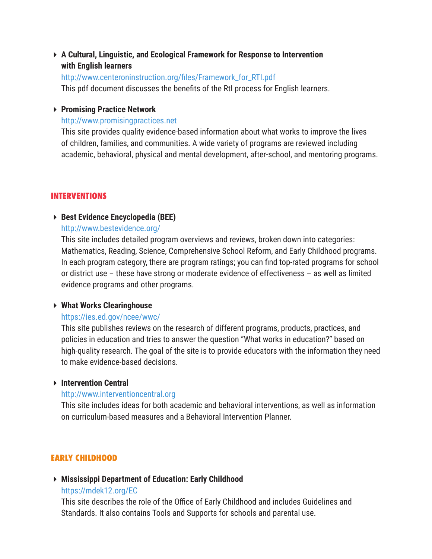**A Cultural, Linguistic, and Ecological Framework for Response to Intervention with English learners**

#### http://www.centeroninstruction.org/files/Framework\_for\_RTI.pdf

This pdf document discusses the benefits of the RtI process for English learners.

#### **Promising Practice Network**

#### http://www.promisingpractices.net

This site provides quality evidence-based information about what works to improve the lives of children, families, and communities. A wide variety of programs are reviewed including academic, behavioral, physical and mental development, after-school, and mentoring programs.

#### **INTERVENTIONS**

#### **Best Evidence Encyclopedia (BEE)**

#### http://www.bestevidence.org/

This site includes detailed program overviews and reviews, broken down into categories: Mathematics, Reading, Science, Comprehensive School Reform, and Early Childhood programs. In each program category, there are program ratings; you can find top-rated programs for school or district use – these have strong or moderate evidence of effectiveness – as well as limited evidence programs and other programs.

#### **What Works Clearinghouse**

#### https://ies.ed.gov/ncee/wwc/

This site publishes reviews on the research of different programs, products, practices, and policies in education and tries to answer the question "What works in education?" based on high-quality research. The goal of the site is to provide educators with the information they need to make evidence-based decisions.

#### **Intervention Central**

#### http://www.interventioncentral.org

This site includes ideas for both academic and behavioral interventions, as well as information on curriculum-based measures and a Behavioral Intervention Planner.

### **EARLY CHILDHOOD**

# **Mississippi Department of Education: Early Childhood**

#### https://mdek12.org/EC

This site describes the role of the Office of Early Childhood and includes Guidelines and Standards. It also contains Tools and Supports for schools and parental use.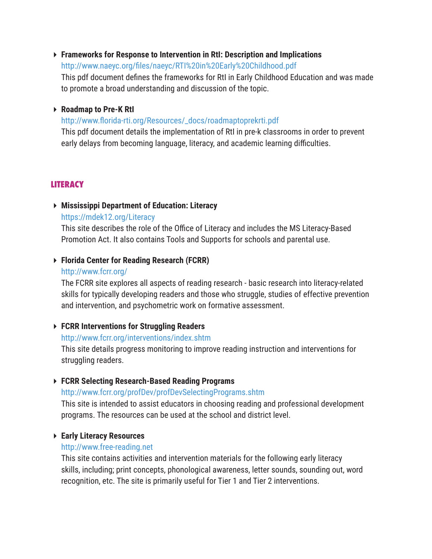# **Frameworks for Response to Intervention in RtI: Description and Implications**

http://www.naeyc.org/files/naeyc/RTI%20in%20Early%20Childhood.pdf This pdf document defines the frameworks for RtI in Early Childhood Education and was made to promote a broad understanding and discussion of the topic.

## **Roadmap to Pre-K RtI**

## http://www.florida-rti.org/Resources/\_docs/roadmaptoprekrti.pdf

This pdf document details the implementation of RtI in pre-k classrooms in order to prevent early delays from becoming language, literacy, and academic learning difficulties.

# **LITERACY**

# **Mississippi Department of Education: Literacy** https://mdek12.org/Literacy

This site describes the role of the Office of Literacy and includes the MS Literacy-Based Promotion Act. It also contains Tools and Supports for schools and parental use.

# **Florida Center for Reading Research (FCRR)**

#### http://www.fcrr.org/

The FCRR site explores all aspects of reading research - basic research into literacy-related skills for typically developing readers and those who struggle, studies of effective prevention and intervention, and psychometric work on formative assessment.

# **FCRR Interventions for Struggling Readers**

# http://www.fcrr.org/interventions/index.shtm

This site details progress monitoring to improve reading instruction and interventions for struggling readers.

# **FCRR Selecting Research-Based Reading Programs**

# http://www.fcrr.org/profDev/profDevSelectingPrograms.shtm

This site is intended to assist educators in choosing reading and professional development programs. The resources can be used at the school and district level.

# **Early Literacy Resources**

# http://www.free-reading.net

This site contains activities and intervention materials for the following early literacy skills, including; print concepts, phonological awareness, letter sounds, sounding out, word recognition, etc. The site is primarily useful for Tier 1 and Tier 2 interventions.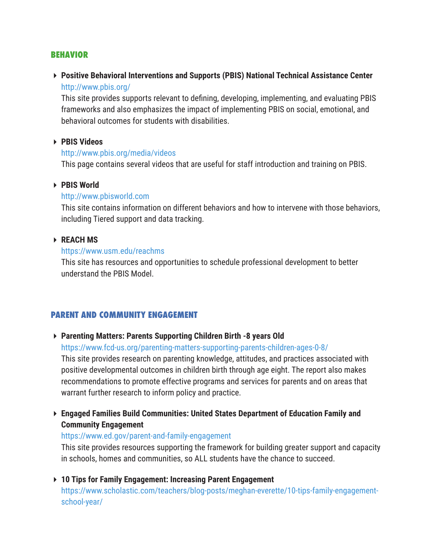#### **BEHAVIOR**

 **Positive Behavioral Interventions and Supports (PBIS) National Technical Assistance Center** http://www.pbis.org/

This site provides supports relevant to defining, developing, implementing, and evaluating PBIS frameworks and also emphasizes the impact of implementing PBIS on social, emotional, and behavioral outcomes for students with disabilities.

#### **PBIS Videos**

#### http://www.pbis.org/media/videos

This page contains several videos that are useful for staff introduction and training on PBIS.

#### **PBIS World**

#### http://www.pbisworld.com

This site contains information on different behaviors and how to intervene with those behaviors, including Tiered support and data tracking.

#### **REACH MS**

#### https://www.usm.edu/reachms

This site has resources and opportunities to schedule professional development to better understand the PBIS Model.

#### **PARENT AND COMMUNITY ENGAGEMENT**

#### **Parenting Matters: Parents Supporting Children Birth -8 years Old**

https://www.fcd-us.org/parenting-matters-supporting-parents-children-ages-0-8/

This site provides research on parenting knowledge, attitudes, and practices associated with positive developmental outcomes in children birth through age eight. The report also makes recommendations to promote effective programs and services for parents and on areas that warrant further research to inform policy and practice.

 **Engaged Families Build Communities: United States Department of Education Family and Community Engagement** 

#### https://www.ed.gov/parent-and-family-engagement

This site provides resources supporting the framework for building greater support and capacity in schools, homes and communities, so ALL students have the chance to succeed.

 **10 Tips for Family Engagement: Increasing Parent Engagement** https://www.scholastic.com/teachers/blog-posts/meghan-everette/10-tips-family-engagementschool-year/